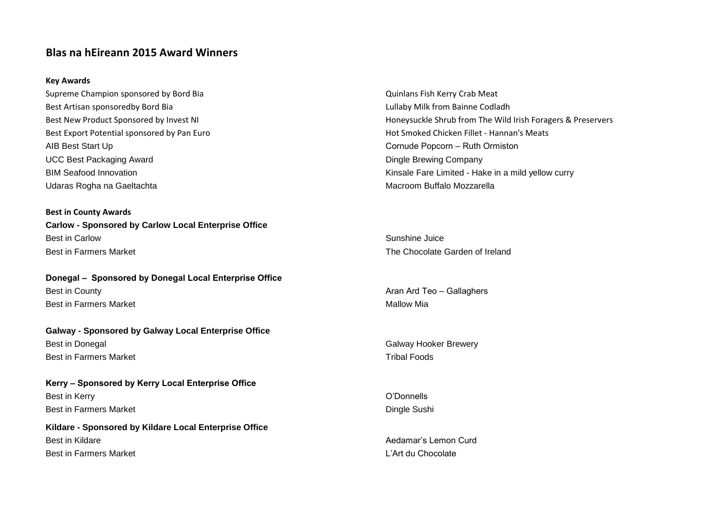## **Blas na hEireann 2015 Award Winners**

#### **Key Awards**

Supreme Champion sponsored by Bord Bia Quinlans Fish Kerry Crab Meat Best Artisan sponsoredby Bord Bia Lullaby Milk from Bainne Codladh AIB Best Start Up **Cornude Popcorn – Ruth Ormiston** UCC Best Packaging Award **Dingle Brewing Company Dingle Brewing Company** Udaras Rogha na Gaeltachta Macroom Buffalo Mozzarella

**Best in County Awards Carlow - Sponsored by Carlow Local Enterprise Office** Best in Carlow Sunshine Juice Best in Farmers Market The Chocolate Garden of Ireland

**Donegal – Sponsored by Donegal Local Enterprise Office** Best in County **Aran Ard Teo – Gallaghers Aran Ard Teo – Gallaghers Best in Farmers Market Mallow Mia** 

**Galway - Sponsored by Galway Local Enterprise Office** Best in Donegal Galway Hooker Brewery Calway Hooker Brewery **Best in Farmers Market Tribal Foods** 

**Kerry – Sponsored by Kerry Local Enterprise Office** Best in Kerry **O'Donnells** Best in Farmers Market **Dingle Sushi** Dingle Sushi

**Kildare - Sponsored by Kildare Local Enterprise Office** Best in Kildare Aedamar's Lemon Curd Best in Farmers Market Line and Chocolate Line and Chocolate Line and Line and Line and Line and Line and Line and Line and Line and Line and Line and Line and Line and Line and Line and Line and Line and Line and Line and

Best New Product Sponsored by Invest NI horest NI honeysuckle Shrub from The Wild Irish Foragers & Preservers Best Export Potential sponsored by Pan Euro Hot Smoked Chicken Fillet - Hannan's Meats BIM Seafood Innovation Number of Allen States and Theorem Controller China Research Controller China a mild yellow curry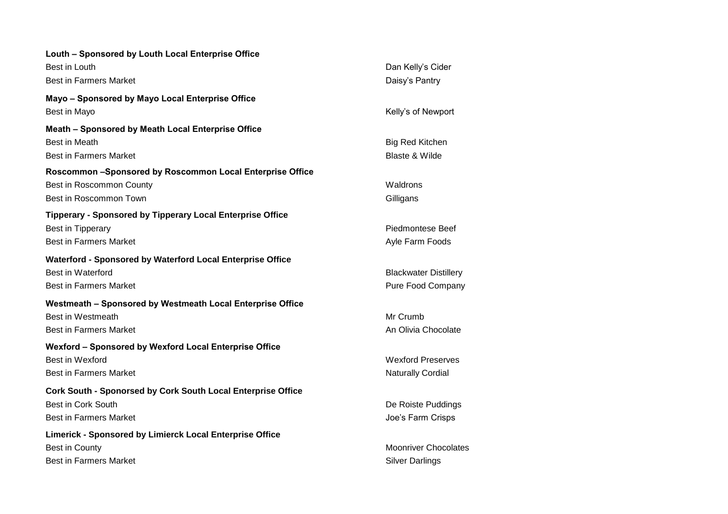| Louth - Sponsored by Louth Local Enterprise Office                |                              |
|-------------------------------------------------------------------|------------------------------|
| Best in Louth                                                     | Dan Kelly's Cider            |
| <b>Best in Farmers Market</b>                                     | Daisy's Pantry               |
| Mayo - Sponsored by Mayo Local Enterprise Office                  |                              |
| Best in Mayo                                                      | Kelly's of Newport           |
| Meath - Sponsored by Meath Local Enterprise Office                |                              |
| <b>Best in Meath</b>                                              | <b>Big Red Kitchen</b>       |
| <b>Best in Farmers Market</b>                                     | <b>Blaste &amp; Wilde</b>    |
| Roscommon -Sponsored by Roscommon Local Enterprise Office         |                              |
| Best in Roscommon County                                          | Waldrons                     |
| Best in Roscommon Town                                            | Gilligans                    |
| <b>Tipperary - Sponsored by Tipperary Local Enterprise Office</b> |                              |
| Best in Tipperary                                                 | <b>Piedmontese Beef</b>      |
| <b>Best in Farmers Market</b>                                     | Ayle Farm Foods              |
| Waterford - Sponsored by Waterford Local Enterprise Office        |                              |
| <b>Best in Waterford</b>                                          | <b>Blackwater Distillery</b> |
| <b>Best in Farmers Market</b>                                     | Pure Food Company            |
| Westmeath - Sponsored by Westmeath Local Enterprise Office        |                              |
| Best in Westmeath                                                 | Mr Crumb                     |
| <b>Best in Farmers Market</b>                                     | An Olivia Chocolate          |
| Wexford - Sponsored by Wexford Local Enterprise Office            |                              |
| Best in Wexford                                                   | <b>Wexford Preserves</b>     |
| <b>Best in Farmers Market</b>                                     | <b>Naturally Cordial</b>     |
| Cork South - Sponorsed by Cork South Local Enterprise Office      |                              |
| <b>Best in Cork South</b>                                         | De Roiste Puddings           |
| <b>Best in Farmers Market</b>                                     | Joe's Farm Crisps            |
| Limerick - Sponsored by Limierck Local Enterprise Office          |                              |
| Best in County                                                    | <b>Moonriver Chocolates</b>  |
| <b>Best in Farmers Market</b>                                     | <b>Silver Darlings</b>       |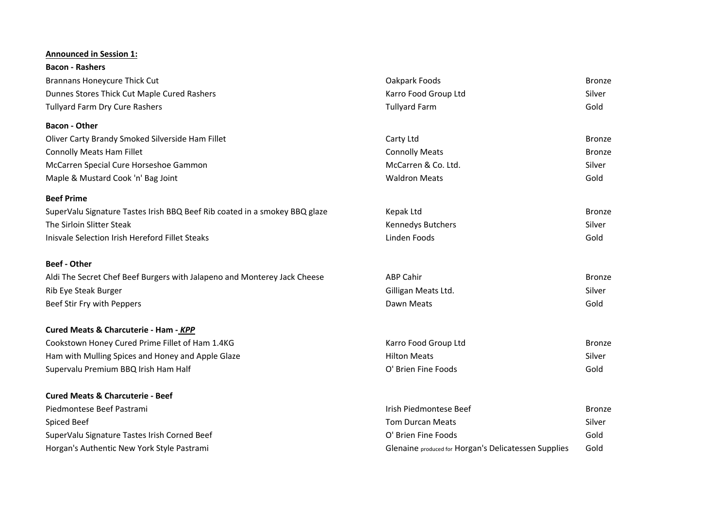#### **Announced in Session 1:**

| <b>Bacon - Rashers</b>                                                     |                                                      |               |
|----------------------------------------------------------------------------|------------------------------------------------------|---------------|
| <b>Brannans Honeycure Thick Cut</b>                                        | Oakpark Foods                                        | <b>Bronze</b> |
| Dunnes Stores Thick Cut Maple Cured Rashers                                | Karro Food Group Ltd                                 | Silver        |
| Tullyard Farm Dry Cure Rashers                                             | <b>Tullyard Farm</b>                                 | Gold          |
| <b>Bacon - Other</b>                                                       |                                                      |               |
| Oliver Carty Brandy Smoked Silverside Ham Fillet                           | Carty Ltd                                            | <b>Bronze</b> |
| <b>Connolly Meats Ham Fillet</b>                                           | <b>Connolly Meats</b>                                | <b>Bronze</b> |
| McCarren Special Cure Horseshoe Gammon                                     | McCarren & Co. Ltd.                                  | Silver        |
| Maple & Mustard Cook 'n' Bag Joint                                         | <b>Waldron Meats</b>                                 | Gold          |
| <b>Beef Prime</b>                                                          |                                                      |               |
| SuperValu Signature Tastes Irish BBQ Beef Rib coated in a smokey BBQ glaze | Kepak Ltd                                            | <b>Bronze</b> |
| The Sirloin Slitter Steak                                                  | Kennedys Butchers                                    | Silver        |
| Inisvale Selection Irish Hereford Fillet Steaks                            | Linden Foods                                         | Gold          |
| <b>Beef - Other</b>                                                        |                                                      |               |
| Aldi The Secret Chef Beef Burgers with Jalapeno and Monterey Jack Cheese   | <b>ABP Cahir</b>                                     | Bronze        |
| Rib Eye Steak Burger                                                       | Gilligan Meats Ltd.                                  | Silver        |
| Beef Stir Fry with Peppers                                                 | Dawn Meats                                           | Gold          |
| Cured Meats & Charcuterie - Ham - KPP                                      |                                                      |               |
| Cookstown Honey Cured Prime Fillet of Ham 1.4KG                            | Karro Food Group Ltd                                 | <b>Bronze</b> |
| Ham with Mulling Spices and Honey and Apple Glaze                          | <b>Hilton Meats</b>                                  | Silver        |
| Supervalu Premium BBQ Irish Ham Half                                       | O' Brien Fine Foods                                  | Gold          |
| <b>Cured Meats &amp; Charcuterie - Beef</b>                                |                                                      |               |
| Piedmontese Beef Pastrami                                                  | Irish Piedmontese Beef                               | <b>Bronze</b> |
| Spiced Beef                                                                | <b>Tom Durcan Meats</b>                              | Silver        |
| SuperValu Signature Tastes Irish Corned Beef                               | O' Brien Fine Foods                                  | Gold          |
| Horgan's Authentic New York Style Pastrami                                 | Glenaine produced for Horgan's Delicatessen Supplies | Gold          |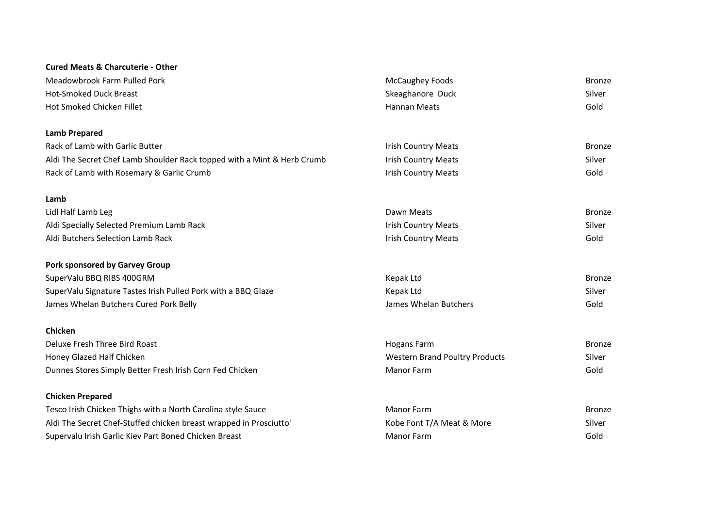## **Cured Meats & Charcuterie - Other**

| Meadowbrook Farm Pulled Pork                                            | McCaughey Foods                       | <b>Bronze</b> |
|-------------------------------------------------------------------------|---------------------------------------|---------------|
| <b>Hot-Smoked Duck Breast</b>                                           | Skeaghanore Duck                      | Silver        |
| Hot Smoked Chicken Fillet                                               | <b>Hannan Meats</b>                   | Gold          |
| <b>Lamb Prepared</b>                                                    |                                       |               |
| Rack of Lamb with Garlic Butter                                         | <b>Irish Country Meats</b>            | <b>Bronze</b> |
| Aldi The Secret Chef Lamb Shoulder Rack topped with a Mint & Herb Crumb | <b>Irish Country Meats</b>            | Silver        |
| Rack of Lamb with Rosemary & Garlic Crumb                               | <b>Irish Country Meats</b>            | Gold          |
| Lamb                                                                    |                                       |               |
| Lidl Half Lamb Leg                                                      | Dawn Meats                            | <b>Bronze</b> |
| Aldi Specially Selected Premium Lamb Rack                               | <b>Irish Country Meats</b>            | Silver        |
| Aldi Butchers Selection Lamb Rack                                       | <b>Irish Country Meats</b>            | Gold          |
| Pork sponsored by Garvey Group                                          |                                       |               |
| SuperValu BBQ RIBS 400GRM                                               | <b>Kepak Ltd</b>                      | <b>Bronze</b> |
| SuperValu Signature Tastes Irish Pulled Pork with a BBQ Glaze           | Kepak Ltd                             | Silver        |
| James Whelan Butchers Cured Pork Belly                                  | James Whelan Butchers                 | Gold          |
| Chicken                                                                 |                                       |               |
| Deluxe Fresh Three Bird Roast                                           | <b>Hogans Farm</b>                    | <b>Bronze</b> |
| Honey Glazed Half Chicken                                               | <b>Western Brand Poultry Products</b> | Silver        |
| Dunnes Stores Simply Better Fresh Irish Corn Fed Chicken                | <b>Manor Farm</b>                     | Gold          |
| <b>Chicken Prepared</b>                                                 |                                       |               |
| Tesco Irish Chicken Thighs with a North Carolina style Sauce            | <b>Manor Farm</b>                     | <b>Bronze</b> |
| Aldi The Secret Chef-Stuffed chicken breast wrapped in Prosciutto'      | Kobe Font T/A Meat & More             | Silver        |
| Supervalu Irish Garlic Kiev Part Boned Chicken Breast                   | <b>Manor Farm</b>                     | Gold          |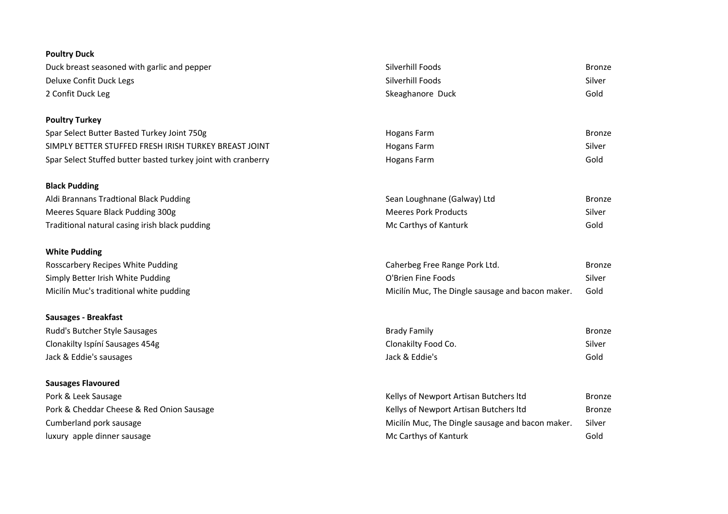| <b>Poultry Duck</b>                                           |                                                  |               |
|---------------------------------------------------------------|--------------------------------------------------|---------------|
| Duck breast seasoned with garlic and pepper                   | Silverhill Foods                                 | <b>Bronze</b> |
| Deluxe Confit Duck Legs                                       | Silverhill Foods                                 | Silver        |
| 2 Confit Duck Leg                                             | Skeaghanore Duck                                 | Gold          |
| <b>Poultry Turkey</b>                                         |                                                  |               |
| Spar Select Butter Basted Turkey Joint 750g                   | <b>Hogans Farm</b>                               | <b>Bronze</b> |
| SIMPLY BETTER STUFFED FRESH IRISH TURKEY BREAST JOINT         | <b>Hogans Farm</b>                               | Silver        |
| Spar Select Stuffed butter basted turkey joint with cranberry | <b>Hogans Farm</b>                               | Gold          |
| <b>Black Pudding</b>                                          |                                                  |               |
| Aldi Brannans Tradtional Black Pudding                        | Sean Loughnane (Galway) Ltd                      | <b>Bronze</b> |
| Meeres Square Black Pudding 300g                              | <b>Meeres Pork Products</b>                      | Silver        |
| Traditional natural casing irish black pudding                | Mc Carthys of Kanturk                            | Gold          |
| <b>White Pudding</b>                                          |                                                  |               |
| Rosscarbery Recipes White Pudding                             | Caherbeg Free Range Pork Ltd.                    | <b>Bronze</b> |
| Simply Better Irish White Pudding                             | O'Brien Fine Foods                               | Silver        |
| Micilín Muc's traditional white pudding                       | Micilín Muc, The Dingle sausage and bacon maker. | Gold          |
| Sausages - Breakfast                                          |                                                  |               |
| Rudd's Butcher Style Sausages                                 | <b>Brady Family</b>                              | <b>Bronze</b> |
| Clonakilty Ispíní Sausages 454g                               | Clonakilty Food Co.                              | Silver        |
| Jack & Eddie's sausages                                       | Jack & Eddie's                                   | Gold          |
| <b>Sausages Flavoured</b>                                     |                                                  |               |
| Pork & Leek Sausage                                           | Kellys of Newport Artisan Butchers Itd           | <b>Bronze</b> |
| Pork & Cheddar Cheese & Red Onion Sausage                     | Kellys of Newport Artisan Butchers Itd           | <b>Bronze</b> |
| Cumberland pork sausage                                       | Micilín Muc, The Dingle sausage and bacon maker. | Silver        |
| luxury apple dinner sausage                                   | Mc Carthys of Kanturk                            | Gold          |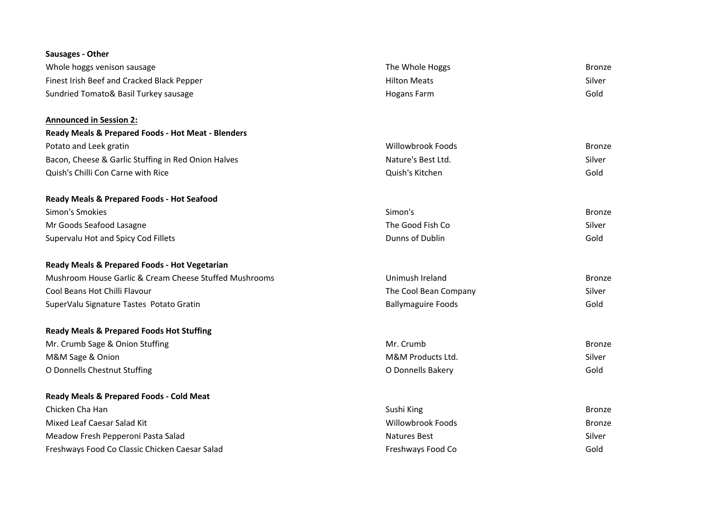| Sausages - Other                                       |                           |               |
|--------------------------------------------------------|---------------------------|---------------|
| Whole hoggs venison sausage                            | The Whole Hoggs           | <b>Bronze</b> |
| Finest Irish Beef and Cracked Black Pepper             | <b>Hilton Meats</b>       | Silver        |
| Sundried Tomato& Basil Turkey sausage                  | <b>Hogans Farm</b>        | Gold          |
| <b>Announced in Session 2:</b>                         |                           |               |
| Ready Meals & Prepared Foods - Hot Meat - Blenders     |                           |               |
| Potato and Leek gratin                                 | <b>Willowbrook Foods</b>  | <b>Bronze</b> |
| Bacon, Cheese & Garlic Stuffing in Red Onion Halves    | Nature's Best Ltd.        | Silver        |
| Quish's Chilli Con Carne with Rice                     | Quish's Kitchen           | Gold          |
| Ready Meals & Prepared Foods - Hot Seafood             |                           |               |
| Simon's Smokies                                        | Simon's                   | <b>Bronze</b> |
| Mr Goods Seafood Lasagne                               | The Good Fish Co          | Silver        |
| Supervalu Hot and Spicy Cod Fillets                    | Dunns of Dublin           | Gold          |
| Ready Meals & Prepared Foods - Hot Vegetarian          |                           |               |
| Mushroom House Garlic & Cream Cheese Stuffed Mushrooms | Unimush Ireland           | <b>Bronze</b> |
| Cool Beans Hot Chilli Flavour                          | The Cool Bean Company     | Silver        |
| SuperValu Signature Tastes Potato Gratin               | <b>Ballymaguire Foods</b> | Gold          |
| <b>Ready Meals &amp; Prepared Foods Hot Stuffing</b>   |                           |               |
| Mr. Crumb Sage & Onion Stuffing                        | Mr. Crumb                 | <b>Bronze</b> |
| M&M Sage & Onion                                       | M&M Products Ltd.         | Silver        |
| O Donnells Chestnut Stuffing                           | O Donnells Bakery         | Gold          |
| <b>Ready Meals &amp; Prepared Foods - Cold Meat</b>    |                           |               |
| Chicken Cha Han                                        | Sushi King                | <b>Bronze</b> |
| Mixed Leaf Caesar Salad Kit                            | <b>Willowbrook Foods</b>  | <b>Bronze</b> |
| Meadow Fresh Pepperoni Pasta Salad                     | <b>Natures Best</b>       | Silver        |
| Freshways Food Co Classic Chicken Caesar Salad         | Freshways Food Co         | Gold          |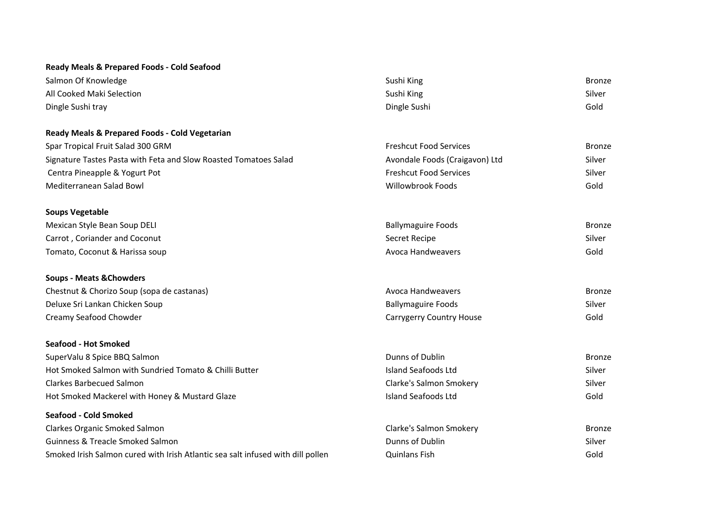## **Ready Meals & Prepared Foods - Cold Seafood**

| Salmon Of Knowledge                                                             | Sushi King                      | <b>Bronze</b> |
|---------------------------------------------------------------------------------|---------------------------------|---------------|
| All Cooked Maki Selection                                                       | Sushi King                      | Silver        |
| Dingle Sushi tray                                                               | Dingle Sushi                    | Gold          |
| Ready Meals & Prepared Foods - Cold Vegetarian                                  |                                 |               |
| Spar Tropical Fruit Salad 300 GRM                                               | <b>Freshcut Food Services</b>   | <b>Bronze</b> |
| Signature Tastes Pasta with Feta and Slow Roasted Tomatoes Salad                | Avondale Foods (Craigavon) Ltd  | Silver        |
| Centra Pineapple & Yogurt Pot                                                   | <b>Freshcut Food Services</b>   | Silver        |
| Mediterranean Salad Bowl                                                        | <b>Willowbrook Foods</b>        | Gold          |
| <b>Soups Vegetable</b>                                                          |                                 |               |
| Mexican Style Bean Soup DELI                                                    | <b>Ballymaguire Foods</b>       | <b>Bronze</b> |
| Carrot, Coriander and Coconut                                                   | Secret Recipe                   | Silver        |
| Tomato, Coconut & Harissa soup                                                  | <b>Avoca Handweavers</b>        | Gold          |
| <b>Soups - Meats &amp; Chowders</b>                                             |                                 |               |
| Chestnut & Chorizo Soup (sopa de castanas)                                      | <b>Avoca Handweavers</b>        | <b>Bronze</b> |
| Deluxe Sri Lankan Chicken Soup                                                  | <b>Ballymaguire Foods</b>       | Silver        |
| Creamy Seafood Chowder                                                          | <b>Carrygerry Country House</b> | Gold          |
| <b>Seafood - Hot Smoked</b>                                                     |                                 |               |
| SuperValu 8 Spice BBQ Salmon                                                    | Dunns of Dublin                 | <b>Bronze</b> |
| Hot Smoked Salmon with Sundried Tomato & Chilli Butter                          | <b>Island Seafoods Ltd</b>      | Silver        |
| <b>Clarkes Barbecued Salmon</b>                                                 | Clarke's Salmon Smokery         | Silver        |
| Hot Smoked Mackerel with Honey & Mustard Glaze                                  | <b>Island Seafoods Ltd</b>      | Gold          |
| <b>Seafood - Cold Smoked</b>                                                    |                                 |               |
| Clarkes Organic Smoked Salmon                                                   | Clarke's Salmon Smokery         | <b>Bronze</b> |
| <b>Guinness &amp; Treacle Smoked Salmon</b>                                     | <b>Dunns of Dublin</b>          | Silver        |
| Smoked Irish Salmon cured with Irish Atlantic sea salt infused with dill pollen | <b>Quinlans Fish</b>            | Gold          |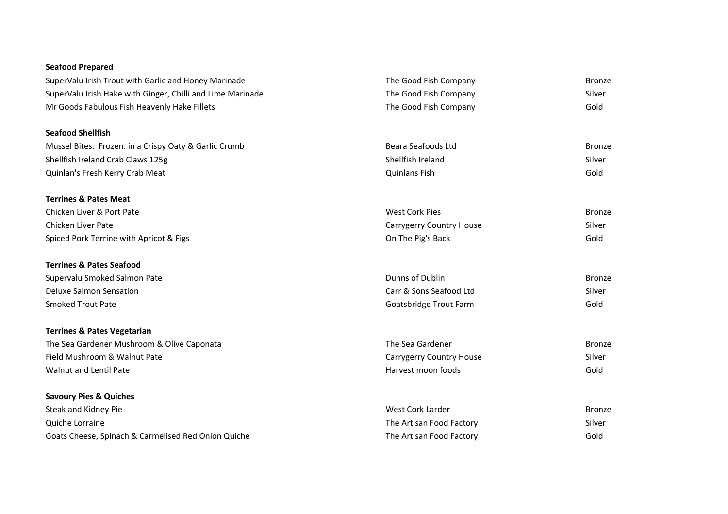## **Seafood Prepared**

| SuperValu Irish Trout with Garlic and Honey Marinade       | The Good Fish Company           | <b>Bronze</b> |
|------------------------------------------------------------|---------------------------------|---------------|
| SuperValu Irish Hake with Ginger, Chilli and Lime Marinade | The Good Fish Company           | Silver        |
| Mr Goods Fabulous Fish Heavenly Hake Fillets               | The Good Fish Company           | Gold          |
| <b>Seafood Shellfish</b>                                   |                                 |               |
| Mussel Bites. Frozen. in a Crispy Oaty & Garlic Crumb      | Beara Seafoods Ltd              | <b>Bronze</b> |
| Shellfish Ireland Crab Claws 125g                          | Shellfish Ireland               | Silver        |
| Quinlan's Fresh Kerry Crab Meat                            | <b>Quinlans Fish</b>            | Gold          |
| <b>Terrines &amp; Pates Meat</b>                           |                                 |               |
| Chicken Liver & Port Pate                                  | <b>West Cork Pies</b>           | <b>Bronze</b> |
| Chicken Liver Pate                                         | <b>Carrygerry Country House</b> | Silver        |
| Spiced Pork Terrine with Apricot & Figs                    | On The Pig's Back               | Gold          |
| <b>Terrines &amp; Pates Seafood</b>                        |                                 |               |
| Supervalu Smoked Salmon Pate                               | Dunns of Dublin                 | <b>Bronze</b> |
| <b>Deluxe Salmon Sensation</b>                             | Carr & Sons Seafood Ltd         | Silver        |
| <b>Smoked Trout Pate</b>                                   | Goatsbridge Trout Farm          | Gold          |
| <b>Terrines &amp; Pates Vegetarian</b>                     |                                 |               |
| The Sea Gardener Mushroom & Olive Caponata                 | The Sea Gardener                | <b>Bronze</b> |
| Field Mushroom & Walnut Pate                               | <b>Carrygerry Country House</b> | Silver        |
| <b>Walnut and Lentil Pate</b>                              | Harvest moon foods              | Gold          |
| <b>Savoury Pies &amp; Quiches</b>                          |                                 |               |
| Steak and Kidney Pie                                       | West Cork Larder                | <b>Bronze</b> |
| Quiche Lorraine                                            | The Artisan Food Factory        | Silver        |
| Goats Cheese, Spinach & Carmelised Red Onion Quiche        | The Artisan Food Factory        | Gold          |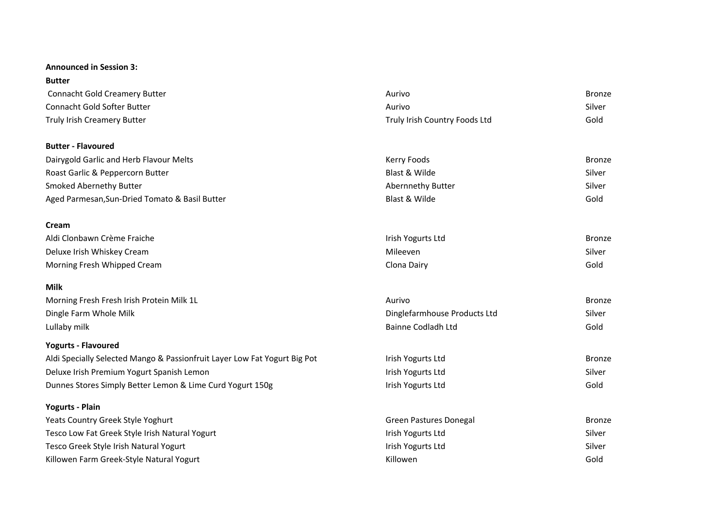#### **Announced in Session 3:**

| <b>Butter</b>                                                             |                               |               |
|---------------------------------------------------------------------------|-------------------------------|---------------|
| <b>Connacht Gold Creamery Butter</b>                                      | Aurivo                        | <b>Bronze</b> |
| Connacht Gold Softer Butter                                               | Aurivo                        | Silver        |
| Truly Irish Creamery Butter                                               | Truly Irish Country Foods Ltd | Gold          |
| <b>Butter - Flavoured</b>                                                 |                               |               |
| Dairygold Garlic and Herb Flavour Melts                                   | Kerry Foods                   | <b>Bronze</b> |
| Roast Garlic & Peppercorn Butter                                          | Blast & Wilde                 | Silver        |
| <b>Smoked Abernethy Butter</b>                                            | Abernnethy Butter             | Silver        |
| Aged Parmesan, Sun-Dried Tomato & Basil Butter                            | Blast & Wilde                 | Gold          |
| Cream                                                                     |                               |               |
| Aldi Clonbawn Crème Fraiche                                               | Irish Yogurts Ltd             | <b>Bronze</b> |
| Deluxe Irish Whiskey Cream                                                | Mileeven                      | Silver        |
| Morning Fresh Whipped Cream                                               | Clona Dairy                   | Gold          |
| <b>Milk</b>                                                               |                               |               |
| Morning Fresh Fresh Irish Protein Milk 1L                                 | Aurivo                        | <b>Bronze</b> |
| Dingle Farm Whole Milk                                                    | Dinglefarmhouse Products Ltd  | Silver        |
| Lullaby milk                                                              | Bainne Codladh Ltd            | Gold          |
| <b>Yogurts - Flavoured</b>                                                |                               |               |
| Aldi Specially Selected Mango & Passionfruit Layer Low Fat Yogurt Big Pot | Irish Yogurts Ltd             | <b>Bronze</b> |
| Deluxe Irish Premium Yogurt Spanish Lemon                                 | Irish Yogurts Ltd             | Silver        |
| Dunnes Stores Simply Better Lemon & Lime Curd Yogurt 150g                 | Irish Yogurts Ltd             | Gold          |
| <b>Yogurts - Plain</b>                                                    |                               |               |
| Yeats Country Greek Style Yoghurt                                         | <b>Green Pastures Donegal</b> | <b>Bronze</b> |
| Tesco Low Fat Greek Style Irish Natural Yogurt                            | Irish Yogurts Ltd             | Silver        |
| Tesco Greek Style Irish Natural Yogurt                                    | Irish Yogurts Ltd             | Silver        |
| Killowen Farm Greek-Style Natural Yogurt                                  | Killowen                      | Gold          |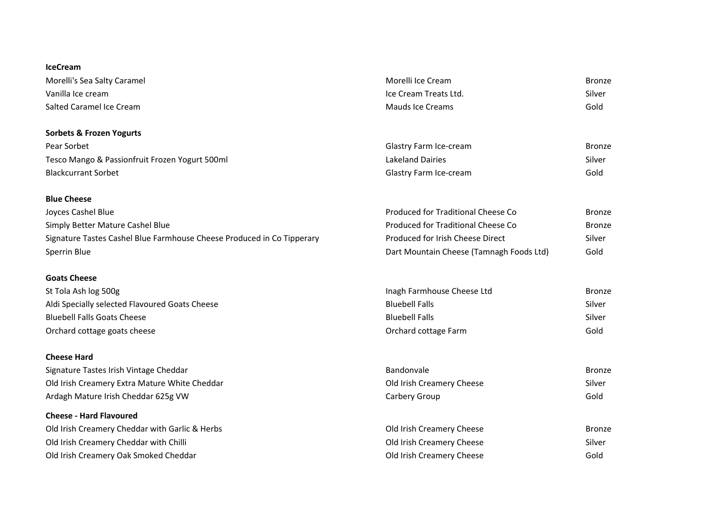## **IceCream** Morelli's Sea Salty Caramel **Exercise Sea Salty Caramel** Bronze Vanilla Ice cream Ice Cream Treats Ltd. Silver Salted Caramel Ice Cream Mauds Ice Creams Gold **Sorbets & Frozen Yogurts** Pear Sorbet **Glastry Farm Ice-cream** Glastry Farm Ice-cream **Bronze** Bronze Tesco Mango & Passionfruit Frozen Yogurt 500ml Lakeland Dairies Silver Blackcurrant Sorbet Glastry Farm Ice-cream Gold **Blue Cheese** Joyces Cashel Blue Produced for Traditional Cheese Co Bronze Simply Better Mature Cashel Blue **Produced for Traditional Cheese Co** Bronze Signature Tastes Cashel Blue Farmhouse Cheese Produced in Co Tipperary **Produced for Irish Cheese Direct** Silver Sperrin Blue **Sperrin Blue** Dart Mountain Cheese (Tamnagh Foods Ltd) Gold **Goats Cheese** St Tola Ash log 500g **Inagh Farmhouse Cheese Ltd** Bronze Aldi Specially selected Flavoured Goats Cheese Silver Bluebell Falls Bluebell Falls Silver Bluebell Falls Goats Cheese Bluebell Falls Silver Orchard cottage goats cheese Orchard cottage Farm Gold **Cheese Hard** Signature Tastes Irish Vintage Cheddar **Bronze** Bandonvale Bandonvale Bandonvale Bronze Old Irish Creamery Extra Mature White Cheddar Old Irish Creamery Cheese Silver Ardagh Mature Irish Cheddar 625g VW Carbery Group Carbery Group Carbery Group Gold **Cheese - Hard Flavoured** Old Irish Creamery Cheddar with Garlic & Herbs **Chemical College Control Control Control Control** Cheese Bronze Old Irish Creamery Cheddar with Chilli Old Irish Creamery Cheese Silver Old Irish Creamery Oak Smoked Cheddar Old Irish Creamery Cheese Gold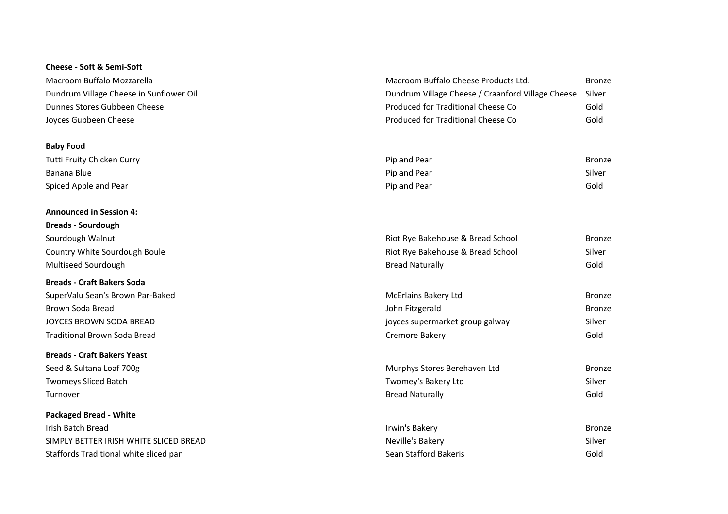#### **Cheese - Soft & Semi-Soft**

| Macroom Buffalo Mozzarella              | Macroom Buffalo Cheese Products Ltd.                     | Bronz |
|-----------------------------------------|----------------------------------------------------------|-------|
| Dundrum Village Cheese in Sunflower Oil | Dundrum Village Cheese / Craanford Village Cheese Silver |       |
| Dunnes Stores Gubbeen Cheese            | Produced for Traditional Cheese Co                       | Gold  |
| Joyces Gubbeen Cheese                   | Produced for Traditional Cheese Co                       | Gold  |

#### **Baby Food**

| Tutti Fruity Chicken Curry | Pip and Pear | Bronze |
|----------------------------|--------------|--------|
| Banana Blue                | Pip and Pear | Silver |
| Spiced Apple and Pear      | Pip and Pear | Gold   |

#### **Announced in Session 4:**

#### **Breads - Craft Bakers Soda**

# **Breads - Craft Bakers Yeast** Seed & Sultana Loaf 700g

**Packaged Bread - White** SIMPLY BETTER IRISH WHITE SLICED BREAD Staffords Traditional white sliced pan

| Joyces Gubbeen Cheese              | Produced for Traditional Cheese Co | Gold          |
|------------------------------------|------------------------------------|---------------|
| <b>Baby Food</b>                   |                                    |               |
| Tutti Fruity Chicken Curry         | Pip and Pear                       | <b>Bronze</b> |
| Banana Blue                        | Pip and Pear                       | Silver        |
| Spiced Apple and Pear              | Pip and Pear                       | Gold          |
| <b>Announced in Session 4:</b>     |                                    |               |
| <b>Breads - Sourdough</b>          |                                    |               |
| Sourdough Walnut                   | Riot Rye Bakehouse & Bread School  | <b>Bronze</b> |
| Country White Sourdough Boule      | Riot Rye Bakehouse & Bread School  | Silver        |
| Multiseed Sourdough                | <b>Bread Naturally</b>             | Gold          |
| <b>Breads - Craft Bakers Soda</b>  |                                    |               |
| SuperValu Sean's Brown Par-Baked   | <b>McErlains Bakery Ltd</b>        | <b>Bronze</b> |
| Brown Soda Bread                   | John Fitzgerald                    | <b>Bronze</b> |
| JOYCES BROWN SODA BREAD            | joyces supermarket group galway    | Silver        |
| Traditional Brown Soda Bread       | Cremore Bakery                     | Gold          |
| <b>Ducede, Cueft Delicus Vecet</b> |                                    |               |

Macroom Buffalo Cheese Products Ltd. Bronze

| Seed & Sultana Loaf 700g | Murphys Stores Berehaven Ltd | Bronze |
|--------------------------|------------------------------|--------|
| Twomeys Sliced Batch     | Twomey's Bakery Ltd          | Silver |
| Turnover                 | <b>Bread Naturally</b>       | Gold   |

| Irish Batch Bread                      | Irwin's Bakery        | Bronze |
|----------------------------------------|-----------------------|--------|
| SIMPLY BETTER IRISH WHITE SLICED BREAD | Neville's Bakery      | Silver |
| Staffords Traditional white sliced pan | Sean Stafford Bakeris | Gold   |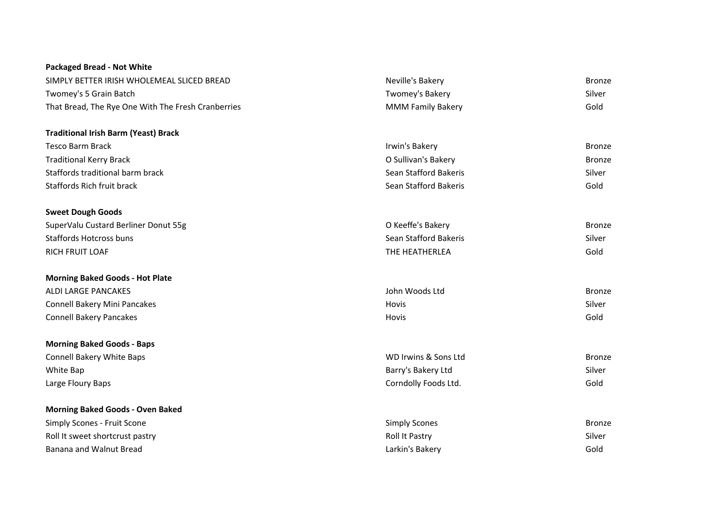| <b>Packaged Bread - Not White</b>                  |                          |               |
|----------------------------------------------------|--------------------------|---------------|
| SIMPLY BETTER IRISH WHOLEMEAL SLICED BREAD         | Neville's Bakery         | <b>Bronze</b> |
| Twomey's 5 Grain Batch                             | Twomey's Bakery          | Silver        |
| That Bread, The Rye One With The Fresh Cranberries | <b>MMM Family Bakery</b> | Gold          |
| <b>Traditional Irish Barm (Yeast) Brack</b>        |                          |               |
| <b>Tesco Barm Brack</b>                            | Irwin's Bakery           | <b>Bronze</b> |
| <b>Traditional Kerry Brack</b>                     | O Sullivan's Bakery      | <b>Bronze</b> |
| Staffords traditional barm brack                   | Sean Stafford Bakeris    | Silver        |
| <b>Staffords Rich fruit brack</b>                  | Sean Stafford Bakeris    | Gold          |
| <b>Sweet Dough Goods</b>                           |                          |               |
| SuperValu Custard Berliner Donut 55g               | O Keeffe's Bakery        | <b>Bronze</b> |
| <b>Staffords Hotcross buns</b>                     | Sean Stafford Bakeris    | Silver        |
| <b>RICH FRUIT LOAF</b>                             | THE HEATHERLEA           | Gold          |
| <b>Morning Baked Goods - Hot Plate</b>             |                          |               |
| <b>ALDI LARGE PANCAKES</b>                         | John Woods Ltd           | <b>Bronze</b> |
| Connell Bakery Mini Pancakes                       | Hovis                    | Silver        |
| <b>Connell Bakery Pancakes</b>                     | Hovis                    | Gold          |
| <b>Morning Baked Goods - Baps</b>                  |                          |               |
| <b>Connell Bakery White Baps</b>                   | WD Irwins & Sons Ltd     | <b>Bronze</b> |
| White Bap                                          | Barry's Bakery Ltd       | Silver        |
| Large Floury Baps                                  | Corndolly Foods Ltd.     | Gold          |
| <b>Morning Baked Goods - Oven Baked</b>            |                          |               |
| Simply Scones - Fruit Scone                        | <b>Simply Scones</b>     | <b>Bronze</b> |
| Roll It sweet shortcrust pastry                    | Roll It Pastry           | Silver        |
| Banana and Walnut Bread                            | Larkin's Bakery          | Gold          |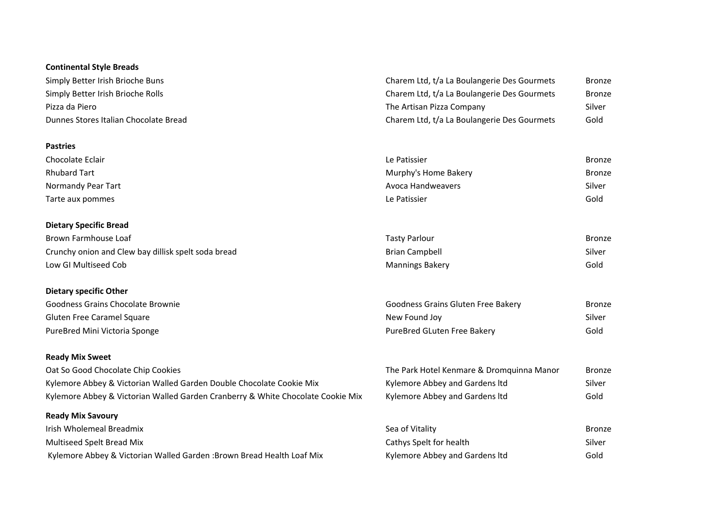## **Continental Style Breads**

| Simply Better Irish Brioche Buns      | Charem Ltd, t/a La Boulangerie Des Gourmets | Bronze |
|---------------------------------------|---------------------------------------------|--------|
| Simply Better Irish Brioche Rolls     | Charem Ltd, t/a La Boulangerie Des Gourmets | Bronze |
| Pizza da Piero                        | The Artisan Pizza Company                   | Silver |
| Dunnes Stores Italian Chocolate Bread | Charem Ltd, t/a La Boulangerie Des Gourmets | Gold   |

#### **Pastries**

| Chocolate Eclair    | Le Patissier         | <b>Bronze</b> |
|---------------------|----------------------|---------------|
| <b>Rhubard Tart</b> | Murphy's Home Bakery | <b>Bronze</b> |
| Normandy Pear Tart  | Avoca Handweavers    | Silver        |
| Tarte aux pommes    | Le Patissier         | Gold          |

## **Dietary Specific Bread**

| Brown Farmhouse Loaf                                | Tastv Parlour          | Bronze |
|-----------------------------------------------------|------------------------|--------|
| Crunchy onion and Clew bay dillisk spelt soda bread | <b>Brian Campbell</b>  | Silver |
| Low GI Multiseed Cob                                | <b>Mannings Bakery</b> | Gold   |

#### **Dietary specific Other**

| Goodness Grains Chocolate Brownie | Goodness Grains Gluten Free Bakery | <b>Bronze</b> |
|-----------------------------------|------------------------------------|---------------|
| Gluten Free Caramel Square        | New Found Joy                      | Silver        |
| PureBred Mini Victoria Sponge     | PureBred GLuten Free Bakery        | Gold          |

## **Ready Mix Sweet**

| Oat So Good Chocolate Chip Cookies                                              | The Park Hotel Kenmare & Dromquinna Manor | Bronze |
|---------------------------------------------------------------------------------|-------------------------------------------|--------|
| Kylemore Abbey & Victorian Walled Garden Double Chocolate Cookie Mix            | Kylemore Abbey and Gardens Itd            | Silver |
| Kylemore Abbey & Victorian Walled Garden Cranberry & White Chocolate Cookie Mix | Kylemore Abbey and Gardens Itd            | Gold   |

### **Ready Mix Savoury**

| Irish Wholemeal Breadmix                                               | Sea of Vitality                | Bronze |
|------------------------------------------------------------------------|--------------------------------|--------|
| Multiseed Spelt Bread Mix                                              | Cathys Spelt for health        | Silver |
| Kylemore Abbey & Victorian Walled Garden : Brown Bread Health Loaf Mix | Kylemore Abbey and Gardens Itd | Gold   |

| Tasty Parlour   | Bronze |
|-----------------|--------|
| Brian Campbell  | Silver |
| Mannings Bakery | Gold   |

| Goodness Grains Gluten Free Bakerv | Bronze |
|------------------------------------|--------|
| New Found Jov                      | Silver |
| PureBred GLuten Free Bakerv        | Gold   |

| The Park Hotel Kenmare & Dromquinna Manor | Bronze |
|-------------------------------------------|--------|
| Kylemore Abbey and Gardens Itd            | Silver |
| Kylemore Abbey and Gardens Itd            | Gold   |

| Sea of Vitality                | Bronze |
|--------------------------------|--------|
| Cathys Spelt for health        | Silver |
| Kylemore Abbey and Gardens Itd | Gold   |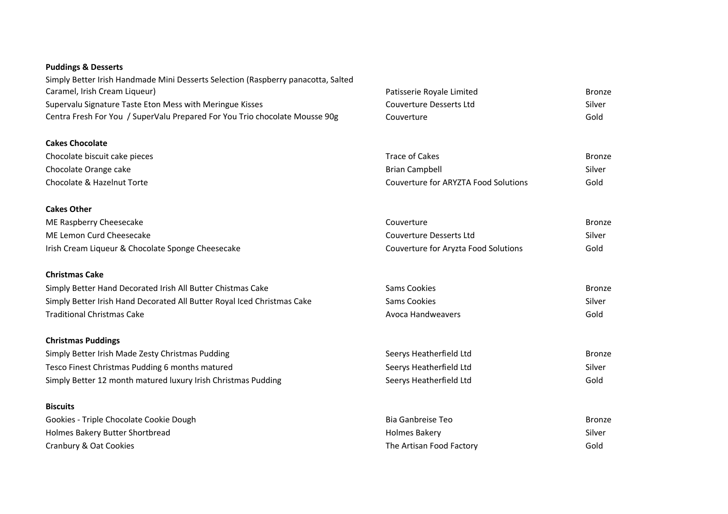#### **Puddings & Desserts**

Simply Better Irish Handmade Mini Desserts Selection (Raspberry panacotta, Salted Caramel, Irish Cream Liqueur) and Essays and the Caramel, Irish Cream Liqueur) Patisserie Royale Limited Bronze Supervalu Signature Taste Eton Mess with Meringue Kisses Couverture Desserts Ltd Silver Couverture Desserts Ltd Centra Fresh For You / SuperValu Prepared For You Trio chocolate Mousse 90g Couverture Couverture Gold

## **Cakes Chocolate**

| Chocolate biscuit cake pieces | Trace of Cakes                       | Bronze |
|-------------------------------|--------------------------------------|--------|
| Chocolate Orange cake         | Brian Campbell                       | Silver |
| Chocolate & Hazelnut Torte    | Couverture for ARYZTA Food Solutions | Gold   |

#### **Cakes Other**

| ME Raspberry Cheesecake                           | Couverture                           | Bronze |
|---------------------------------------------------|--------------------------------------|--------|
| ME Lemon Curd Cheesecake                          | Couverture Desserts Ltd              | Silver |
| Irish Cream Liqueur & Chocolate Sponge Cheesecake | Couverture for Aryzta Food Solutions | Gold   |

#### **Christmas Cake**

| Simply Better Hand Decorated Irish All Butter Chistmas Cake             | Sams Cookies      | Bronze |
|-------------------------------------------------------------------------|-------------------|--------|
| Simply Better Irish Hand Decorated All Butter Royal Iced Christmas Cake | Sams Cookies      | Silver |
| <b>Traditional Christmas Cake</b>                                       | Avoca Handweavers | Gold   |

#### **Christmas Puddings**

| Simply Better Irish Made Zesty Christmas Pudding              | Seerys Heatherfield Ltd | Bronze |
|---------------------------------------------------------------|-------------------------|--------|
| Tesco Finest Christmas Pudding 6 months matured               | Seerys Heatherfield Ltd | Silver |
| Simply Better 12 month matured luxury Irish Christmas Pudding | Seerys Heatherfield Ltd | Gold   |

#### **Biscuits**

| Gookies - Triple Chocolate Cookie Dough | Bia Ganbreise Teo        | Bronze |
|-----------------------------------------|--------------------------|--------|
| Holmes Bakery Butter Shortbread         | Holmes Bakery            | Silver |
| Cranbury & Oat Cookies                  | The Artisan Food Factory | Gold   |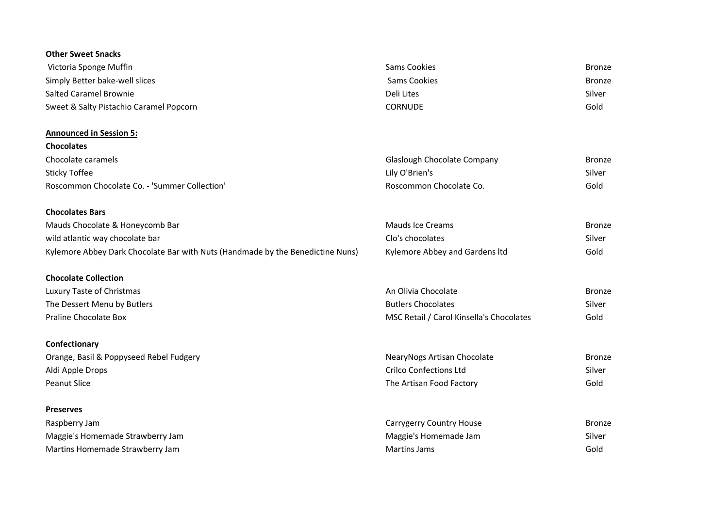| <b>Other Sweet Snacks</b>                                                      |                                          |               |
|--------------------------------------------------------------------------------|------------------------------------------|---------------|
| Victoria Sponge Muffin                                                         | <b>Sams Cookies</b>                      | <b>Bronze</b> |
| Simply Better bake-well slices                                                 | <b>Sams Cookies</b>                      | <b>Bronze</b> |
| <b>Salted Caramel Brownie</b>                                                  | Deli Lites                               | Silver        |
| Sweet & Salty Pistachio Caramel Popcorn                                        | <b>CORNUDE</b>                           | Gold          |
| <b>Announced in Session 5:</b>                                                 |                                          |               |
| <b>Chocolates</b>                                                              |                                          |               |
| Chocolate caramels                                                             | Glaslough Chocolate Company              | <b>Bronze</b> |
| <b>Sticky Toffee</b>                                                           | Lily O'Brien's                           | Silver        |
| Roscommon Chocolate Co. - 'Summer Collection'                                  | Roscommon Chocolate Co.                  | Gold          |
| <b>Chocolates Bars</b>                                                         |                                          |               |
| Mauds Chocolate & Honeycomb Bar                                                | <b>Mauds Ice Creams</b>                  | <b>Bronze</b> |
| wild atlantic way chocolate bar                                                | Clo's chocolates                         | Silver        |
| Kylemore Abbey Dark Chocolate Bar with Nuts (Handmade by the Benedictine Nuns) | Kylemore Abbey and Gardens Itd           | Gold          |
| <b>Chocolate Collection</b>                                                    |                                          |               |
| Luxury Taste of Christmas                                                      | An Olivia Chocolate                      | <b>Bronze</b> |
| The Dessert Menu by Butlers                                                    | <b>Butlers Chocolates</b>                | Silver        |
| Praline Chocolate Box                                                          | MSC Retail / Carol Kinsella's Chocolates | Gold          |
| Confectionary                                                                  |                                          |               |
| Orange, Basil & Poppyseed Rebel Fudgery                                        | NearyNogs Artisan Chocolate              | <b>Bronze</b> |
| Aldi Apple Drops                                                               | <b>Crilco Confections Ltd</b>            | Silver        |
| <b>Peanut Slice</b>                                                            | The Artisan Food Factory                 | Gold          |
| <b>Preserves</b>                                                               |                                          |               |
| Raspberry Jam                                                                  | Carrygerry Country House                 | <b>Bronze</b> |
| Maggie's Homemade Strawberry Jam                                               | Maggie's Homemade Jam                    | Silver        |
| Martins Homemade Strawberry Jam                                                | <b>Martins Jams</b>                      | Gold          |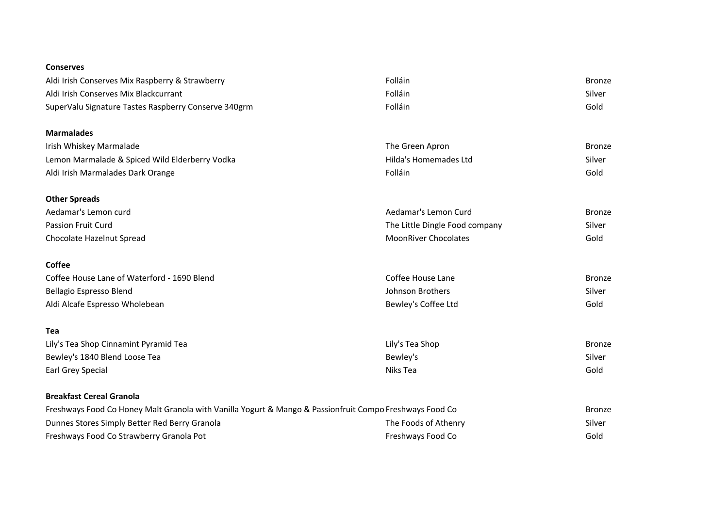#### **Conserves**

| Aldi Irish Conserves Mix Raspberry & Strawberry                                                         | Folláin                        | <b>Bronze</b> |
|---------------------------------------------------------------------------------------------------------|--------------------------------|---------------|
| Aldi Irish Conserves Mix Blackcurrant                                                                   | Folláin                        | Silver        |
| SuperValu Signature Tastes Raspberry Conserve 340grm                                                    | Folláin                        | Gold          |
| <b>Marmalades</b>                                                                                       |                                |               |
| Irish Whiskey Marmalade                                                                                 | The Green Apron                | <b>Bronze</b> |
| Lemon Marmalade & Spiced Wild Elderberry Vodka                                                          | Hilda's Homemades Ltd          | Silver        |
| Aldi Irish Marmalades Dark Orange                                                                       | Folláin                        | Gold          |
| <b>Other Spreads</b>                                                                                    |                                |               |
| Aedamar's Lemon curd                                                                                    | Aedamar's Lemon Curd           | <b>Bronze</b> |
| Passion Fruit Curd                                                                                      | The Little Dingle Food company | Silver        |
| Chocolate Hazelnut Spread                                                                               | <b>MoonRiver Chocolates</b>    | Gold          |
| <b>Coffee</b>                                                                                           |                                |               |
| Coffee House Lane of Waterford - 1690 Blend                                                             | Coffee House Lane              | <b>Bronze</b> |
| <b>Bellagio Espresso Blend</b>                                                                          | Johnson Brothers               | Silver        |
| Aldi Alcafe Espresso Wholebean                                                                          | Bewley's Coffee Ltd            | Gold          |
| Tea                                                                                                     |                                |               |
| Lily's Tea Shop Cinnamint Pyramid Tea                                                                   | Lily's Tea Shop                | <b>Bronze</b> |
| Bewley's 1840 Blend Loose Tea                                                                           | Bewley's                       | Silver        |
| <b>Earl Grey Special</b>                                                                                | Niks Tea                       | Gold          |
| <b>Breakfast Cereal Granola</b>                                                                         |                                |               |
| Freshways Food Co Honey Malt Granola with Vanilla Yogurt & Mango & Passionfruit Compo Freshways Food Co |                                | <b>Bronze</b> |
| Dunnes Stores Simply Better Red Berry Granola                                                           | The Foods of Athenry           | Silver        |
| Freshways Food Co Strawberry Granola Pot                                                                | Freshways Food Co              | Gold          |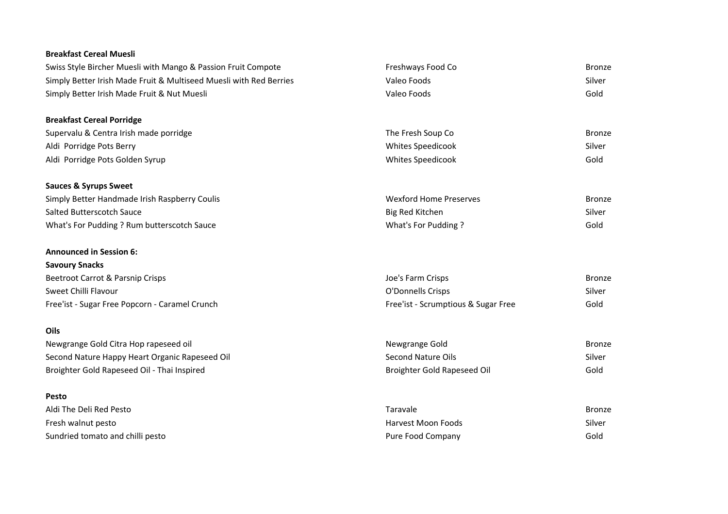#### **Breakfast Cereal Muesli**

| Freshways Food Co                   | <b>Bronze</b> |
|-------------------------------------|---------------|
| Valeo Foods                         | Silver        |
| Valeo Foods                         | Gold          |
|                                     |               |
| The Fresh Soup Co                   | <b>Bronze</b> |
| <b>Whites Speedicook</b>            | Silver        |
| Whites Speedicook                   | Gold          |
|                                     |               |
| <b>Wexford Home Preserves</b>       | <b>Bronze</b> |
| Big Red Kitchen                     | Silver        |
| What's For Pudding?                 | Gold          |
|                                     |               |
|                                     |               |
| Joe's Farm Crisps                   | <b>Bronze</b> |
| O'Donnells Crisps                   | Silver        |
| Free'ist - Scrumptious & Sugar Free | Gold          |
|                                     |               |
| Newgrange Gold                      | <b>Bronze</b> |
| <b>Second Nature Oils</b>           | Silver        |
| Broighter Gold Rapeseed Oil         | Gold          |
|                                     |               |
| Taravale                            | <b>Bronze</b> |
| <b>Harvest Moon Foods</b>           | Silver        |
| Pure Food Company                   | Gold          |
|                                     |               |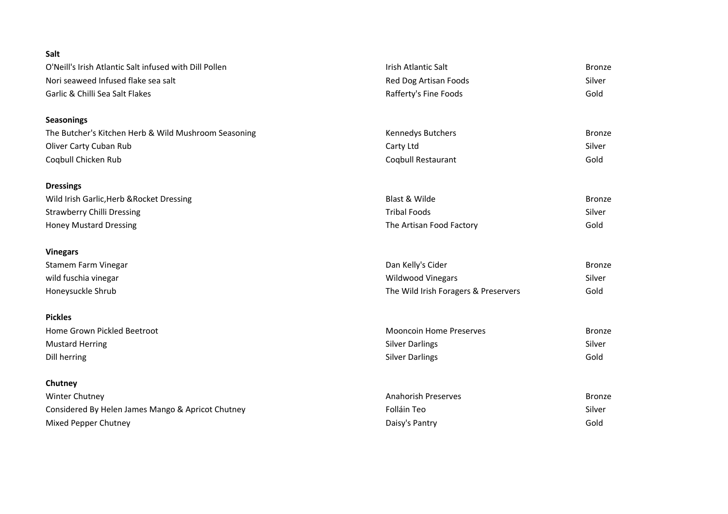| Salt                                                   |                                      |               |
|--------------------------------------------------------|--------------------------------------|---------------|
| O'Neill's Irish Atlantic Salt infused with Dill Pollen | Irish Atlantic Salt                  | <b>Bronze</b> |
| Nori seaweed Infused flake sea salt                    | Red Dog Artisan Foods                | Silver        |
| Garlic & Chilli Sea Salt Flakes                        | Rafferty's Fine Foods                | Gold          |
| <b>Seasonings</b>                                      |                                      |               |
| The Butcher's Kitchen Herb & Wild Mushroom Seasoning   | Kennedys Butchers                    | <b>Bronze</b> |
| Oliver Carty Cuban Rub                                 | Carty Ltd                            | Silver        |
| Coqbull Chicken Rub                                    | Coqbull Restaurant                   | Gold          |
| <b>Dressings</b>                                       |                                      |               |
| Wild Irish Garlic, Herb & Rocket Dressing              | Blast & Wilde                        | <b>Bronze</b> |
| <b>Strawberry Chilli Dressing</b>                      | <b>Tribal Foods</b>                  | Silver        |
| <b>Honey Mustard Dressing</b>                          | The Artisan Food Factory             | Gold          |
| <b>Vinegars</b>                                        |                                      |               |
| Stamem Farm Vinegar                                    | Dan Kelly's Cider                    | <b>Bronze</b> |
| wild fuschia vinegar                                   | Wildwood Vinegars                    | Silver        |
| Honeysuckle Shrub                                      | The Wild Irish Foragers & Preservers | Gold          |
| <b>Pickles</b>                                         |                                      |               |
| Home Grown Pickled Beetroot                            | <b>Mooncoin Home Preserves</b>       | <b>Bronze</b> |
| <b>Mustard Herring</b>                                 | <b>Silver Darlings</b>               | Silver        |
| Dill herring                                           | <b>Silver Darlings</b>               | Gold          |
| Chutney                                                |                                      |               |
| <b>Winter Chutney</b>                                  | <b>Anahorish Preserves</b>           | <b>Bronze</b> |
| Considered By Helen James Mango & Apricot Chutney      | Folláin Teo                          | Silver        |
| Mixed Pepper Chutney                                   | Daisy's Pantry                       | Gold          |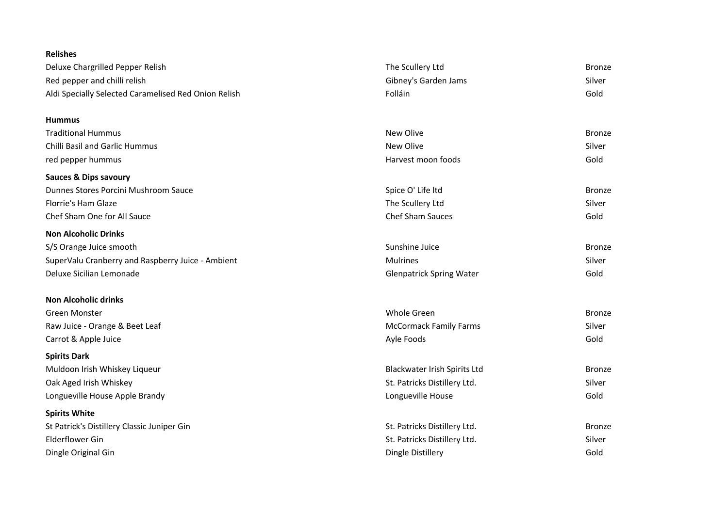| <b>Relishes</b>                                      |                                 |               |
|------------------------------------------------------|---------------------------------|---------------|
| Deluxe Chargrilled Pepper Relish                     | The Scullery Ltd                | <b>Bronze</b> |
| Red pepper and chilli relish                         | Gibney's Garden Jams            | Silver        |
| Aldi Specially Selected Caramelised Red Onion Relish | Folláin                         | Gold          |
| <b>Hummus</b>                                        |                                 |               |
| <b>Traditional Hummus</b>                            | New Olive                       | <b>Bronze</b> |
| <b>Chilli Basil and Garlic Hummus</b>                | New Olive                       | Silver        |
| red pepper hummus                                    | Harvest moon foods              | Gold          |
| <b>Sauces &amp; Dips savoury</b>                     |                                 |               |
| Dunnes Stores Porcini Mushroom Sauce                 | Spice O' Life Itd               | <b>Bronze</b> |
| Florrie's Ham Glaze                                  | The Scullery Ltd                | Silver        |
| Chef Sham One for All Sauce                          | <b>Chef Sham Sauces</b>         | Gold          |
| <b>Non Alcoholic Drinks</b>                          |                                 |               |
| S/S Orange Juice smooth                              | Sunshine Juice                  | <b>Bronze</b> |
| SuperValu Cranberry and Raspberry Juice - Ambient    | <b>Mulrines</b>                 | Silver        |
| Deluxe Sicilian Lemonade                             | <b>Glenpatrick Spring Water</b> | Gold          |
| <b>Non Alcoholic drinks</b>                          |                                 |               |
| Green Monster                                        | Whole Green                     | <b>Bronze</b> |
| Raw Juice - Orange & Beet Leaf                       | <b>McCormack Family Farms</b>   | Silver        |
| Carrot & Apple Juice                                 | Ayle Foods                      | Gold          |
| <b>Spirits Dark</b>                                  |                                 |               |
| Muldoon Irish Whiskey Liqueur                        | Blackwater Irish Spirits Ltd    | <b>Bronze</b> |
| Oak Aged Irish Whiskey                               | St. Patricks Distillery Ltd.    | Silver        |
| Longueville House Apple Brandy                       | Longueville House               | Gold          |
| <b>Spirits White</b>                                 |                                 |               |
| St Patrick's Distillery Classic Juniper Gin          | St. Patricks Distillery Ltd.    | <b>Bronze</b> |
| <b>Elderflower Gin</b>                               | St. Patricks Distillery Ltd.    | Silver        |
| Dingle Original Gin                                  | Dingle Distillery               | Gold          |